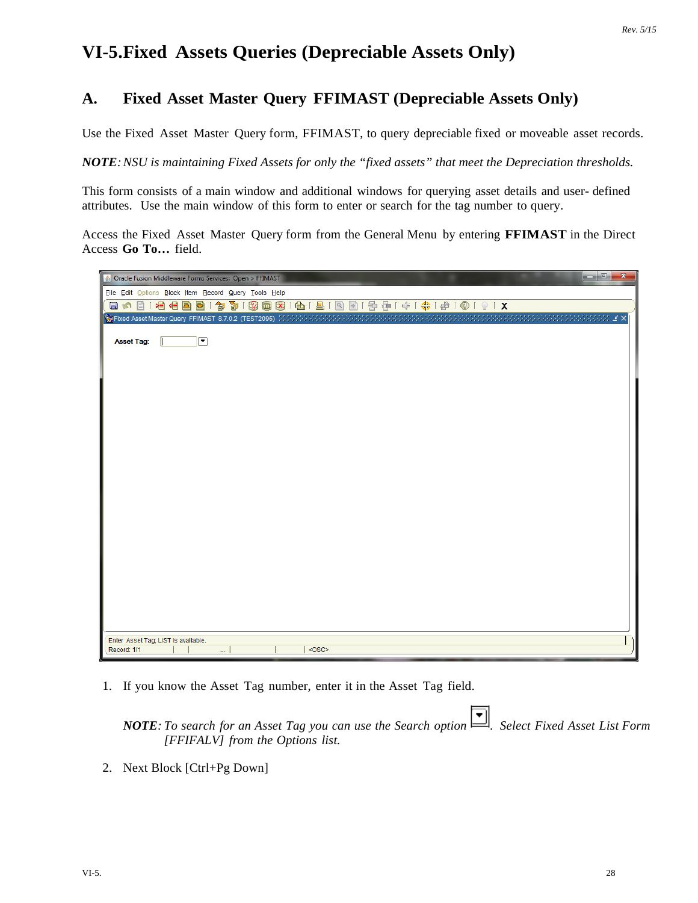## **VI-5.Fixed Assets Queries (Depreciable Assets Only)**

## **A. Fixed Asset Master Query FFIMAST (Depreciable Assets Only)**

Use the Fixed Asset Master Query form, FFIMAST, to query depreciable fixed or moveable asset records.

*NOTE:NSU is maintaining Fixed Assets for only the "fixed assets" that meet the Depreciation thresholds.*

This form consists of a main window and additional windows for querying asset details and user- defined attributes. Use the main window of this form to enter or search for the tag number to query.

Access the Fixed Asset Master Query form from the General Menu by entering **FFIMAST** in the Direct Access **Go To…** field.

| S Oracle Fusion Middleware Forms Services: Open > FFIMAST              | $\Box$ e<br>$\mathbf{x}$ |
|------------------------------------------------------------------------|--------------------------|
| File Edit Options Block Item Record Query Tools Help                   |                          |
| 冒め                                                                     | 图1部每1条1卷1盒1盒1页1 X        |
| Exa Fixed Asset Master Query FFIMAST 8.7.0.2 (TEST2095) 34866666666666 | ≚ ×                      |
|                                                                        |                          |
| ⊡<br><b>Asset Tag:</b>                                                 |                          |
|                                                                        |                          |
|                                                                        |                          |
|                                                                        |                          |
|                                                                        |                          |
|                                                                        |                          |
|                                                                        |                          |
|                                                                        |                          |
|                                                                        |                          |
|                                                                        |                          |
|                                                                        |                          |
|                                                                        |                          |
|                                                                        |                          |
|                                                                        |                          |
|                                                                        |                          |
|                                                                        |                          |
|                                                                        |                          |
|                                                                        |                          |
|                                                                        |                          |
|                                                                        |                          |
|                                                                        |                          |
|                                                                        |                          |
| Enter Asset Tag; LIST is available.                                    |                          |
| Record: 1/1<br>u.                                                      | $<$ OSC>                 |

1. If you know the Asset Tag number, enter it in the Asset Tag field.

*NOTE: To search for an Asset Tag you can use the Search option . Select Fixed Asset List Form [FFIFALV] from the Options list.*

2. Next Block [Ctrl+Pg Down]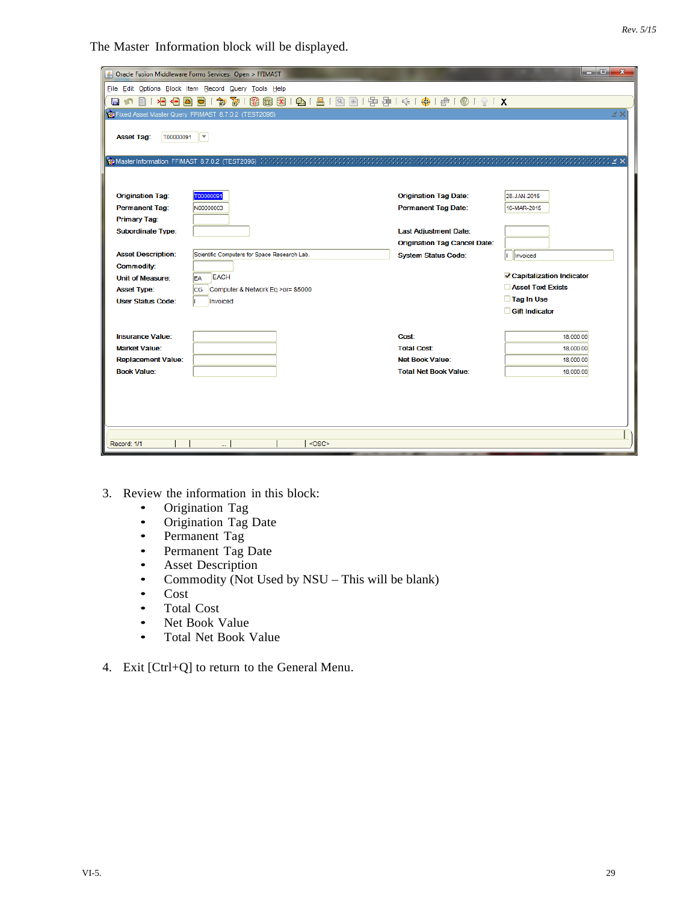|                                              |                                                                                  |                                     | المالدا<br>$\mathbf{x}$           |
|----------------------------------------------|----------------------------------------------------------------------------------|-------------------------------------|-----------------------------------|
|                                              | Sol Oracle Fusion Middleware Forms Services: Open > FFIMAST                      |                                     |                                   |
|                                              | File Edit Options Block Item Record Query Tools Help                             |                                     |                                   |
| 相相<br>z)<br><b>In</b><br>$\blacksquare$<br>Ħ | 3 8 8 8 1 8 1 8 1 8 8 1 9 8 1 9 1 9 1 4 1 4 1 4 1 6 1 0 1 9 1 X<br>面Ⅰ<br>御<br>ÐÌ |                                     |                                   |
|                                              | Fixed Asset Master Query FFIMAST 8.7.0.2 (TEST2095)                              |                                     | ¥Χ                                |
|                                              |                                                                                  |                                     |                                   |
| <b>Asset Tag:</b><br>T00000091               | $\overline{\phantom{a}}$                                                         |                                     |                                   |
|                                              |                                                                                  |                                     |                                   |
|                                              |                                                                                  |                                     |                                   |
|                                              |                                                                                  |                                     |                                   |
| <b>Origination Tag:</b>                      | T00000091                                                                        | <b>Origination Tag Date:</b>        | 28-JAN-2015                       |
| <b>Permanent Tag:</b>                        | N00000003                                                                        | Permanent Tag Date:                 | 10-MAR-2015                       |
| <b>Primary Tag:</b>                          |                                                                                  |                                     |                                   |
| <b>Subordinate Type:</b>                     |                                                                                  | <b>Last Adjustment Date:</b>        |                                   |
|                                              |                                                                                  | <b>Origination Tag Cancel Date:</b> |                                   |
| <b>Asset Description:</b>                    | Scientific Computers for Space Research Lab.                                     | <b>System Status Code:</b>          | Invoiced                          |
| <b>Commodity:</b>                            |                                                                                  |                                     |                                   |
| <b>Unit of Measure:</b>                      | <b>EACH</b><br>EA                                                                |                                     | <b>√</b> Capitalization Indicator |
| <b>Asset Type:</b>                           | Computer & Network Eq >or= \$5000<br>lcg                                         |                                     | <b>Asset Text Exists</b>          |
| <b>User Status Code:</b>                     | Invoiced                                                                         |                                     | □ Tag In Use                      |
|                                              |                                                                                  |                                     | <b>Gift Indicator</b>             |
|                                              |                                                                                  |                                     |                                   |
| <b>Insurance Value:</b>                      |                                                                                  | Cost:                               | 18,000.00                         |
| <b>Market Value:</b>                         |                                                                                  | <b>Total Cost:</b>                  | 18,000.00                         |
| <b>Replacement Value:</b>                    |                                                                                  | <b>Net Book Value:</b>              | 18,000.00                         |
| <b>Book Value:</b>                           |                                                                                  | <b>Total Net Book Value:</b>        | 18,000.00                         |
|                                              |                                                                                  |                                     |                                   |
|                                              |                                                                                  |                                     |                                   |
|                                              |                                                                                  |                                     |                                   |
|                                              |                                                                                  |                                     |                                   |
|                                              |                                                                                  |                                     |                                   |
| Record: 1/1                                  | $<$ OSC><br>                                                                     |                                     |                                   |

- 3. Review the information in this block:<br>• Origination Tag
	- Origination Tag<br>• Origination Tag
	- Origination Tag Date
	- Permanent Tag
	- Permanent Tag Date<br>• Asset Description
	- Asset Description<br>• Commodity (Not U
	- Commodity (Not Used by NSU This will be blank)<br>
	Cost
	-
	- Cost<br>• Total • Total Cost<br>• Net Book N
	- Net Book Value<br>• Total Net Book V
	- Total Net Book Value
- 4. Exit [Ctrl+Q] to return to the General Menu.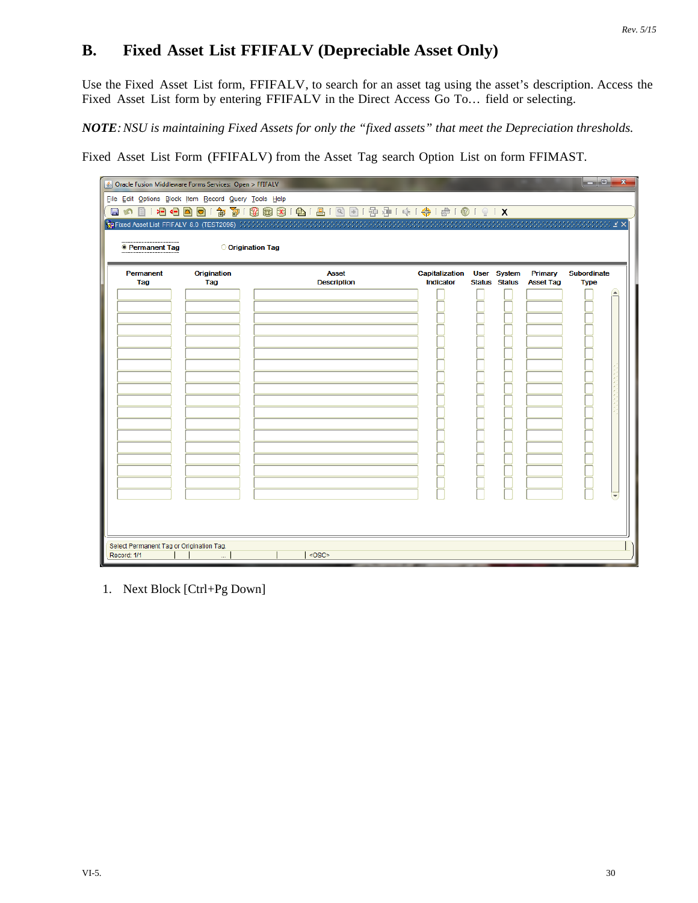## **B. Fixed Asset List FFIFALV (Depreciable Asset Only)**

Use the Fixed Asset List form, FFIFALV, to search for an asset tag using the asset's description. Access the Fixed Asset List form by entering FFIFALV in the Direct Access Go To… field or selecting.

*NOTE:NSU is maintaining Fixed Assets for only the "fixed assets" that meet the Depreciation thresholds.*

Fixed Asset List Form (FFIFALV) from the Asset Tag search Option List on form FFIMAST.

|                                          | Dracle Fusion Middleware Forms Services: Open > FFIFALV |                                        |                |                      |               |                  | ا ہے ۔             | $\mathbf{x}$                 |
|------------------------------------------|---------------------------------------------------------|----------------------------------------|----------------|----------------------|---------------|------------------|--------------------|------------------------------|
|                                          | File Edit Options Block Item Record Query Tools Help    |                                        |                |                      |               |                  |                    |                              |
|                                          |                                                         | 日の101名白国园1参701图画图1011图1图1图1图1011011011 |                |                      |               |                  |                    |                              |
|                                          |                                                         |                                        |                |                      |               |                  |                    |                              |
|                                          |                                                         |                                        |                |                      |               |                  |                    |                              |
| <b>• Permanent Tag</b>                   | <b>Origination Tag</b>                                  |                                        |                |                      |               |                  |                    |                              |
| Permanent                                | Origination                                             | <b>Asset</b>                           | Capitalization | <b>User</b>          | <b>System</b> | Primary          | <b>Subordinate</b> |                              |
| Tag                                      | Tag                                                     | <b>Description</b>                     | Indicator      | <b>Status Status</b> |               | <b>Asset Tag</b> | <b>Type</b>        |                              |
|                                          |                                                         |                                        |                |                      |               |                  |                    | $\left( \frac{1}{2} \right)$ |
|                                          |                                                         |                                        |                |                      |               |                  |                    |                              |
|                                          |                                                         |                                        |                |                      |               |                  |                    |                              |
|                                          |                                                         |                                        |                |                      |               |                  |                    |                              |
|                                          |                                                         |                                        |                |                      |               |                  |                    |                              |
|                                          |                                                         |                                        |                |                      |               |                  |                    |                              |
|                                          |                                                         |                                        |                |                      |               |                  |                    |                              |
|                                          |                                                         |                                        |                |                      |               |                  |                    |                              |
|                                          |                                                         |                                        |                |                      |               |                  |                    |                              |
|                                          |                                                         |                                        |                |                      |               |                  |                    |                              |
|                                          |                                                         |                                        |                |                      |               |                  |                    |                              |
|                                          |                                                         |                                        |                |                      |               |                  |                    |                              |
|                                          |                                                         |                                        |                |                      |               |                  |                    |                              |
|                                          |                                                         |                                        |                |                      |               |                  |                    |                              |
|                                          |                                                         |                                        |                |                      |               |                  |                    |                              |
|                                          |                                                         |                                        |                |                      |               |                  |                    |                              |
|                                          |                                                         |                                        |                |                      |               |                  |                    |                              |
| Select Permanent Tag or Origination Tag. |                                                         |                                        |                |                      |               |                  |                    |                              |
| Record: 1/1                              |                                                         | $<$ OSC>                               |                |                      |               |                  |                    |                              |

1. Next Block [Ctrl+Pg Down]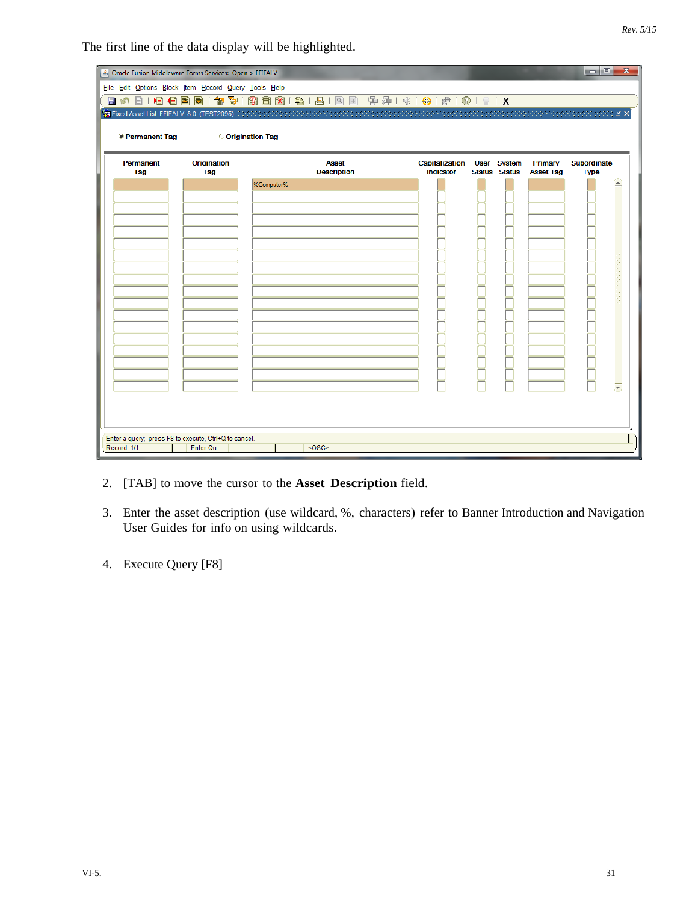|                        | △ Oracle Fusion Middleware Forms Services: Open > FFIFALV<br>File Edit Options Block Item Record Query Tools Help |                                    |                                    |                                     |                             | <b>1000</b><br>$\mathbf{x}$ |
|------------------------|-------------------------------------------------------------------------------------------------------------------|------------------------------------|------------------------------------|-------------------------------------|-----------------------------|-----------------------------|
|                        |                                                                                                                   |                                    |                                    |                                     |                             |                             |
|                        |                                                                                                                   |                                    |                                    |                                     |                             |                             |
| <b>• Permanent Tag</b> |                                                                                                                   | <b>Origination Tag</b>             |                                    |                                     |                             |                             |
|                        |                                                                                                                   |                                    |                                    |                                     |                             |                             |
| Permanent<br>Tag       | Origination<br>Tag                                                                                                | <b>Asset</b><br><b>Description</b> | Capitalization<br><b>Indicator</b> | User System<br><b>Status Status</b> | Primary<br><b>Asset Tag</b> | Subordinate<br><b>Type</b>  |
|                        |                                                                                                                   | %Computer%                         |                                    |                                     |                             |                             |
|                        |                                                                                                                   |                                    |                                    |                                     |                             |                             |
|                        |                                                                                                                   |                                    |                                    |                                     |                             |                             |
|                        |                                                                                                                   |                                    |                                    |                                     |                             |                             |
|                        |                                                                                                                   |                                    |                                    |                                     |                             |                             |
|                        |                                                                                                                   |                                    |                                    |                                     |                             |                             |
|                        |                                                                                                                   |                                    |                                    |                                     |                             |                             |
|                        |                                                                                                                   |                                    |                                    |                                     |                             |                             |
|                        |                                                                                                                   |                                    |                                    |                                     |                             |                             |
|                        |                                                                                                                   |                                    |                                    |                                     |                             |                             |
|                        |                                                                                                                   |                                    |                                    |                                     |                             |                             |
|                        |                                                                                                                   |                                    |                                    |                                     |                             |                             |
|                        |                                                                                                                   |                                    |                                    |                                     |                             |                             |
|                        |                                                                                                                   |                                    |                                    |                                     |                             |                             |
|                        |                                                                                                                   |                                    |                                    |                                     |                             |                             |
|                        |                                                                                                                   |                                    |                                    |                                     |                             |                             |
| Record: 1/1            | Enter a query; press F8 to execute, Ctrl+Q to cancel.<br>Enter-Qu                                                 | $<$ OSC>                           |                                    |                                     |                             |                             |

- 2. [TAB] to move the cursor to the **Asset Description** field.
- 3. Enter the asset description (use wildcard, %, characters) refer to Banner Introduction and Navigation User Guides for info on using wildcards.
- 4. Execute Query [F8]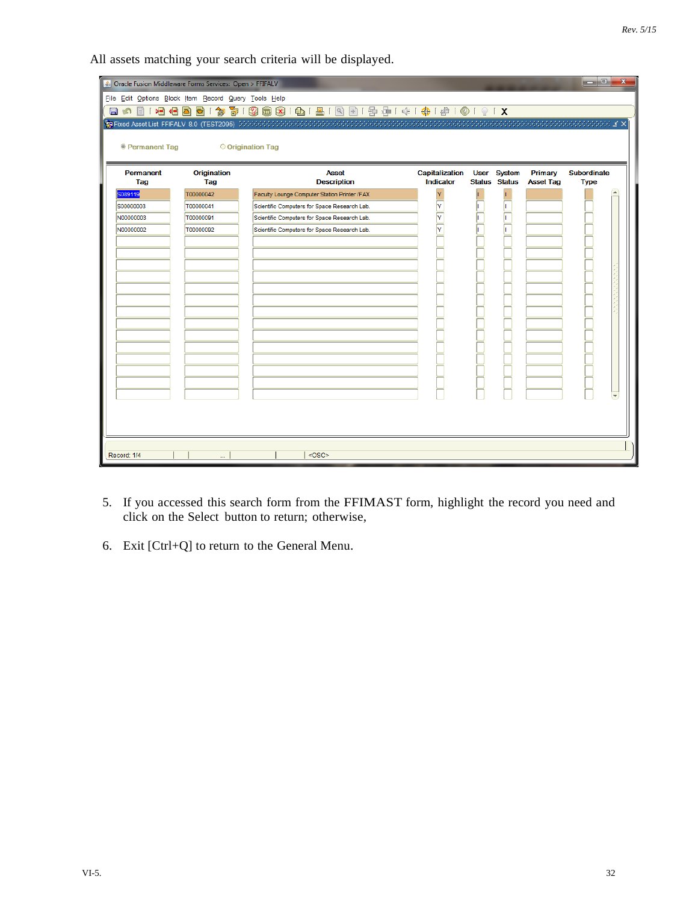All assets matching your search criteria will be displayed.

| Oracle Fusion Middleware Forms Services: Open > FFIFALV<br>File Edit Options Block Item Record Query Tools Help |                    |                                              |                                    |             |                                       |                             | la el<br>$\mathbf{x}$             |
|-----------------------------------------------------------------------------------------------------------------|--------------------|----------------------------------------------|------------------------------------|-------------|---------------------------------------|-----------------------------|-----------------------------------|
|                                                                                                                 |                    |                                              |                                    |             |                                       |                             |                                   |
|                                                                                                                 |                    |                                              |                                    |             |                                       |                             |                                   |
| <b>• Permanent Tag</b>                                                                                          |                    | O Origination Tag                            |                                    |             |                                       |                             |                                   |
| Permanent<br>Tag                                                                                                | Origination<br>Tag | <b>Asset</b><br><b>Description</b>           | Capitalization<br><b>Indicator</b> | <b>User</b> | <b>System</b><br><b>Status Status</b> | Primary<br><b>Asset Tag</b> | <b>Subordinate</b><br><b>Type</b> |
| 6089119                                                                                                         | T00000042          | Faculty Lounge Computer Station Printer /FAX | Y                                  | h.          |                                       |                             |                                   |
| S00000003                                                                                                       | T00000041          | Scientific Computers for Space Research Lab. |                                    |             |                                       |                             |                                   |
| N00000003                                                                                                       | T00000091          | Scientific Computers for Space Research Lab. | $\frac{1}{\sqrt{2}}$               |             |                                       |                             |                                   |
| N00000002                                                                                                       | T00000092          | Scientific Computers for Space Research Lab. | $\overline{\overline{Y}}$          |             |                                       |                             |                                   |
|                                                                                                                 |                    |                                              |                                    |             |                                       |                             |                                   |
|                                                                                                                 |                    |                                              |                                    |             |                                       |                             |                                   |
|                                                                                                                 |                    |                                              |                                    |             |                                       |                             |                                   |
|                                                                                                                 |                    |                                              |                                    |             |                                       |                             |                                   |
|                                                                                                                 |                    |                                              |                                    |             |                                       |                             |                                   |
|                                                                                                                 |                    |                                              |                                    |             |                                       |                             |                                   |
|                                                                                                                 |                    |                                              |                                    |             |                                       |                             |                                   |
|                                                                                                                 |                    |                                              |                                    |             |                                       |                             |                                   |
|                                                                                                                 |                    |                                              |                                    |             |                                       |                             |                                   |
|                                                                                                                 |                    |                                              |                                    |             |                                       |                             |                                   |
|                                                                                                                 |                    |                                              |                                    |             |                                       |                             |                                   |
|                                                                                                                 |                    |                                              |                                    |             |                                       |                             |                                   |
|                                                                                                                 |                    |                                              |                                    |             |                                       |                             |                                   |
|                                                                                                                 |                    |                                              |                                    |             |                                       |                             |                                   |
|                                                                                                                 |                    |                                              |                                    |             |                                       |                             |                                   |
|                                                                                                                 |                    |                                              |                                    |             |                                       |                             |                                   |
| Record: 1/4                                                                                                     | u.                 | $<$ OSC>                                     |                                    |             |                                       |                             |                                   |

- 5. If you accessed this search form from the FFIMAST form, highlight the record you need and click on the Select button to return; otherwise,
- 6. Exit [Ctrl+Q] to return to the General Menu.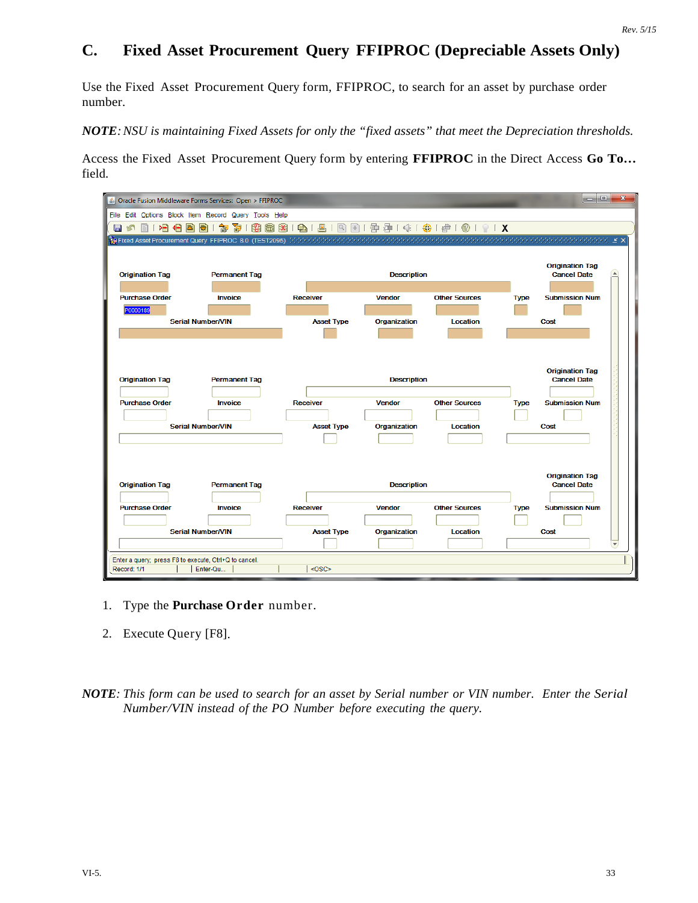## **C. Fixed Asset Procurement Query FFIPROC (Depreciable Assets Only)**

Use the Fixed Asset Procurement Query form, FFIPROC, to search for an asset by purchase order number.

*NOTE:NSU is maintaining Fixed Assets for only the "fixed assets" that meet the Depreciation thresholds.*

Access the Fixed Asset Procurement Query form by entering **FFIPROC** in the Direct Access **Go To…** field.

| S Oracle Fusion Middleware Forms Services: Open > FFIPROC                                         |                          |                                                         |                    |                      |             | $\Box$ e<br>$\mathbf{x}$                                 |
|---------------------------------------------------------------------------------------------------|--------------------------|---------------------------------------------------------|--------------------|----------------------|-------------|----------------------------------------------------------|
| File Edit Options Block Item Record Query Tools Help                                              |                          |                                                         |                    |                      |             |                                                          |
| 相相固<br>日の<br>目                                                                                    | 匍<br>御<br>Ð              | 3 8 8 8 6 1 8 1 8 1 8 8 1 9 3 4 1 4 1 4 1 6 1 6 1 6 1 7 |                    |                      |             |                                                          |
| <b>使Fixed Asset Procurement Query FFIPROC 8.0 (TEST2095)</b> こうかいかかかかかかかかかかかかかかかかかかかかかかかかかかかかかかかか |                          |                                                         |                    |                      |             |                                                          |
|                                                                                                   |                          |                                                         |                    |                      |             |                                                          |
| <b>Origination Tag</b>                                                                            | <b>Permanent Tag</b>     |                                                         | <b>Description</b> |                      |             | <b>Origination Tag</b><br><b>A</b><br><b>Cancel Date</b> |
|                                                                                                   |                          |                                                         |                    |                      |             |                                                          |
| <b>Purchase Order</b>                                                                             | Invoice                  | <b>Receiver</b>                                         | <b>Vendor</b>      | <b>Other Sources</b> | <b>Type</b> | <b>Submission Num</b>                                    |
| P0000189                                                                                          |                          |                                                         |                    |                      |             |                                                          |
|                                                                                                   | <b>Serial Number/VIN</b> | <b>Asset Type</b>                                       | Organization       | <b>Location</b>      |             | Cost                                                     |
|                                                                                                   |                          |                                                         |                    |                      |             |                                                          |
|                                                                                                   |                          |                                                         |                    |                      |             |                                                          |
|                                                                                                   |                          |                                                         |                    |                      |             |                                                          |
| <b>Origination Tag</b>                                                                            | <b>Permanent Tag</b>     |                                                         | <b>Description</b> |                      |             | <b>Origination Tag</b><br><b>Cancel Date</b>             |
|                                                                                                   |                          |                                                         |                    |                      |             |                                                          |
| <b>Purchase Order</b>                                                                             | <b>Invoice</b>           | <b>Receiver</b>                                         | <b>Vendor</b>      | <b>Other Sources</b> | <b>Type</b> | <b>Submission Num</b>                                    |
|                                                                                                   |                          |                                                         |                    |                      |             |                                                          |
|                                                                                                   | <b>Serial Number/VIN</b> | <b>Asset Type</b>                                       | Organization       | Location             |             | Cost                                                     |
|                                                                                                   |                          |                                                         |                    |                      |             |                                                          |
|                                                                                                   |                          |                                                         |                    |                      |             |                                                          |
|                                                                                                   |                          |                                                         |                    |                      |             | <b>Origination Tag</b>                                   |
| <b>Origination Tag</b>                                                                            | <b>Permanent Tag</b>     |                                                         | <b>Description</b> |                      |             | <b>Cancel Date</b>                                       |
|                                                                                                   |                          |                                                         |                    |                      |             |                                                          |
| <b>Purchase Order</b>                                                                             | <b>Invoice</b>           | <b>Receiver</b>                                         | <b>Vendor</b>      | <b>Other Sources</b> | <b>Type</b> | <b>Submission Num</b>                                    |
|                                                                                                   |                          |                                                         |                    |                      |             |                                                          |
|                                                                                                   | <b>Serial Number/VIN</b> | <b>Asset Type</b>                                       | Organization       | Location             |             | Cost                                                     |
|                                                                                                   |                          |                                                         |                    |                      |             | $\overline{\mathbf{v}}$                                  |
| Enter a query; press F8 to execute, Ctrl+Q to cancel.<br>Record: 1/1                              | Enter-Qu                 | <0SC>                                                   |                    |                      |             |                                                          |
|                                                                                                   |                          |                                                         |                    |                      |             |                                                          |

- 1. Type the **Purchase Order** number.
- 2. Execute Query [F8].

NOTE: This form can be used to search for an asset by Serial number or VIN number. Enter the Serial *Number/VIN instead of the PO Number before executing the query.*